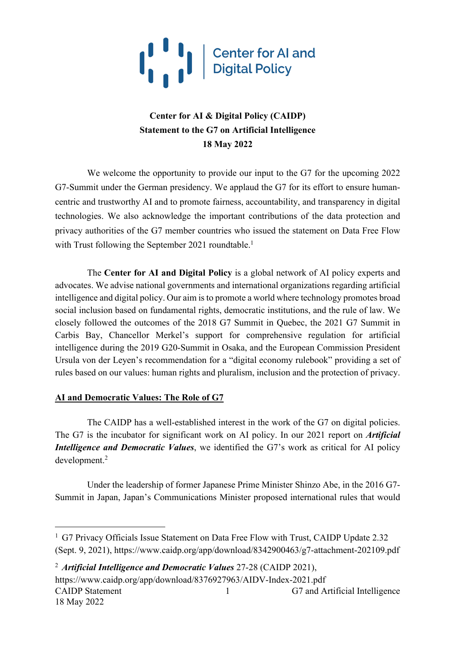

## **Center for AI & Digital Policy (CAIDP) Statement to the G7 on Artificial Intelligence 18 May 2022**

We welcome the opportunity to provide our input to the G7 for the upcoming 2022 G7-Summit under the German presidency. We applaud the G7 for its effort to ensure humancentric and trustworthy AI and to promote fairness, accountability, and transparency in digital technologies. We also acknowledge the important contributions of the data protection and privacy authorities of the G7 member countries who issued the statement on Data Free Flow with Trust following the September 2021 roundtable.<sup>1</sup>

The **Center for AI and Digital Policy** is a global network of AI policy experts and advocates. We advise national governments and international organizations regarding artificial intelligence and digital policy. Our aim is to promote a world where technology promotes broad social inclusion based on fundamental rights, democratic institutions, and the rule of law. We closely followed the outcomes of the 2018 G7 Summit in Quebec, the 2021 G7 Summit in Carbis Bay, Chancellor Merkel's support for comprehensive regulation for artificial intelligence during the 2019 G20-Summit in Osaka, and the European Commission President Ursula von der Leyen's recommendation for a "digital economy rulebook" providing a set of rules based on our values: human rights and pluralism, inclusion and the protection of privacy.

#### **AI and Democratic Values: The Role of G7**

The CAIDP has a well-established interest in the work of the G7 on digital policies. The G7 is the incubator for significant work on AI policy. In our 2021 report on *Artificial Intelligence and Democratic Values*, we identified the G7's work as critical for AI policy development. 2

Under the leadership of former Japanese Prime Minister Shinzo Abe, in the 2016 G7- Summit in Japan, Japan's Communications Minister proposed international rules that would

CAIDP Statement 1 G7 and Artificial Intelligence 18 May 2022 1 https://www.caidp.org/app/download/8376927963/AIDV-Index-2021.pdf

<sup>&</sup>lt;sup>1</sup> G7 Privacy Officials Issue Statement on Data Free Flow with Trust, CAIDP Update 2.32 (Sept. 9, 2021), https://www.caidp.org/app/download/8342900463/g7-attachment-202109.pdf

<sup>2</sup> *Artificial Intelligence and Democratic Values* 27-28 (CAIDP 2021),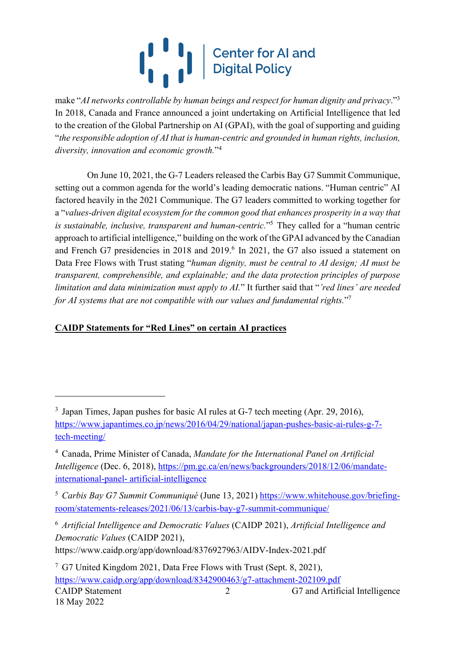# $\begin{bmatrix} 1 & 1 \\ 1 & 1 \end{bmatrix}$ Center for AI and<br>Digital Policy

make "*AI networks controllable by human beings and respect for human dignity and privacy*."3 In 2018, Canada and France announced a joint undertaking on Artificial Intelligence that led to the creation of the Global Partnership on AI (GPAI), with the goal of supporting and guiding "*the responsible adoption of AI that is human-centric and grounded in human rights, inclusion, diversity, innovation and economic growth.*"4

On June 10, 2021, the G-7 Leaders released the Carbis Bay G7 Summit Communique, setting out a common agenda for the world's leading democratic nations. "Human centric" AI factored heavily in the 2021 Communique. The G7 leaders committed to working together for a "*values-driven digital ecosystem for the common good that enhances prosperity in a way that is sustainable, inclusive, transparent and human-centric.*"5 They called for a "human centric approach to artificial intelligence," building on the work of the GPAI advanced by the Canadian and French G7 presidencies in 2018 and 2019. <sup>6</sup> In 2021, the G7 also issued a statement on Data Free Flows with Trust stating "*human dignity, must be central to AI design; AI must be transparent, comprehensible, and explainable; and the data protection principles of purpose limitation and data minimization must apply to AI.*" It further said that "*'red lines' are needed for AI systems that are not compatible with our values and fundamental rights.*"7

## **CAIDP Statements for "Red Lines" on certain AI practices**

<sup>6</sup> *Artificial Intelligence and Democratic Values* (CAIDP 2021), *Artificial Intelligence and Democratic Values* (CAIDP 2021), https://www.caidp.org/app/download/8376927963/AIDV-Index-2021.pdf

<sup>&</sup>lt;sup>3</sup> Japan Times, Japan pushes for basic AI rules at G-7 tech meeting (Apr. 29, 2016), https://www.japantimes.co.jp/news/2016/04/29/national/japan-pushes-basic-ai-rules-g-7 tech-meeting/

<sup>4</sup> Canada, Prime Minister of Canada, *Mandate for the International Panel on Artificial Intelligence* (Dec. 6, 2018), https://pm.gc.ca/en/news/backgrounders/2018/12/06/mandateinternational-panel- artificial-intelligence

<sup>5</sup> *Carbis Bay G7 Summit Communiqué* (June 13, 2021) https://www.whitehouse.gov/briefingroom/statements-releases/2021/06/13/carbis-bay-g7-summit-communique/

CAIDP Statement 2 G7 and Artificial Intelligence 18 May 2022 2 <sup>7</sup> G7 United Kingdom 2021, Data Free Flows with Trust (Sept. 8, 2021), https://www.caidp.org/app/download/8342900463/g7-attachment-202109.pdf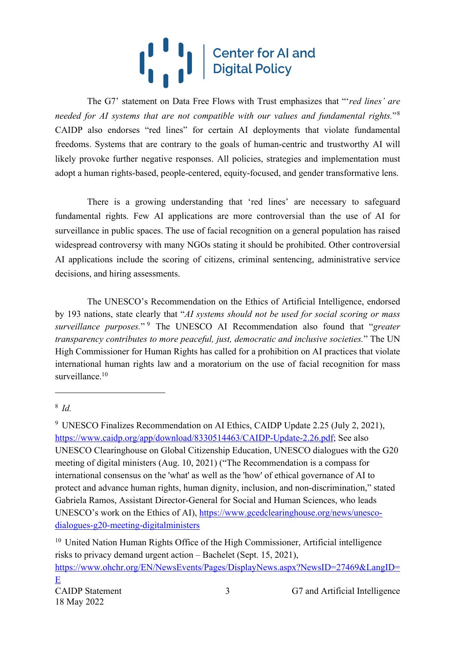# Center for AI and<br>Digital Policy  $\binom{1}{1}$

The G7' statement on Data Free Flows with Trust emphasizes that "'*red lines' are needed for AI systems that are not compatible with our values and fundamental rights.*"8 CAIDP also endorses "red lines" for certain AI deployments that violate fundamental freedoms. Systems that are contrary to the goals of human-centric and trustworthy AI will likely provoke further negative responses. All policies, strategies and implementation must adopt a human rights-based, people-centered, equity-focused, and gender transformative lens.

There is a growing understanding that 'red lines' are necessary to safeguard fundamental rights. Few AI applications are more controversial than the use of AI for surveillance in public spaces. The use of facial recognition on a general population has raised widespread controversy with many NGOs stating it should be prohibited. Other controversial AI applications include the scoring of citizens, criminal sentencing, administrative service decisions, and hiring assessments.

The UNESCO's Recommendation on the Ethics of Artificial Intelligence, endorsed by 193 nations, state clearly that "*AI systems should not be used for social scoring or mass surveillance purposes.*" <sup>9</sup> The UNESCO AI Recommendation also found that "*greater transparency contributes to more peaceful, just, democratic and inclusive societies.*" The UN High Commissioner for Human Rights has called for a prohibition on AI practices that violate international human rights law and a moratorium on the use of facial recognition for mass surveillance.<sup>10</sup>

<sup>8</sup> *Id.*

<sup>9</sup> UNESCO Finalizes Recommendation on AI Ethics, CAIDP Update 2.25 (July 2, 2021), https://www.caidp.org/app/download/8330514463/CAIDP-Update-2.26.pdf; See also UNESCO Clearinghouse on Global Citizenship Education, UNESCO dialogues with the G20 meeting of digital ministers (Aug. 10, 2021) ("The Recommendation is a compass for international consensus on the 'what' as well as the 'how' of ethical governance of AI to protect and advance human rights, human dignity, inclusion, and non-discrimination," stated Gabriela Ramos, Assistant Director-General for Social and Human Sciences, who leads UNESCO's work on the Ethics of AI), https://www.gcedclearinghouse.org/news/unescodialogues-g20-meeting-digitalministers

CAIDP Statement 3 G7 and Artificial Intelligence <sup>10</sup> United Nation Human Rights Office of the High Commissioner, Artificial intelligence risks to privacy demand urgent action – Bachelet (Sept. 15, 2021), https://www.ohchr.org/EN/NewsEvents/Pages/DisplayNews.aspx?NewsID=27469&LangID= E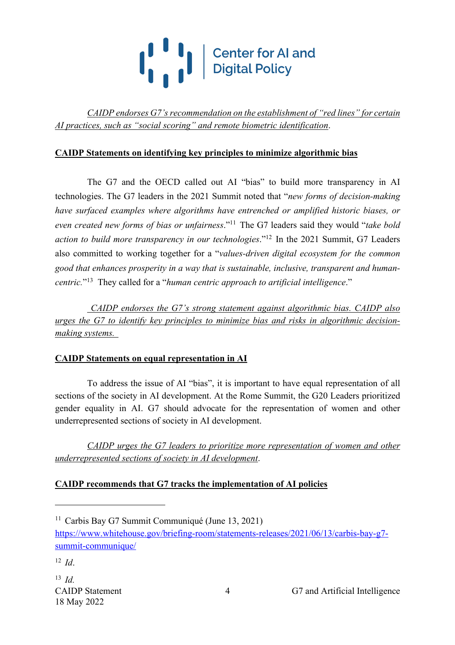

*CAIDP endorses G7's recommendation on the establishment of "red lines" for certain AI practices, such as "social scoring" and remote biometric identification*.

#### **CAIDP Statements on identifying key principles to minimize algorithmic bias**

The G7 and the OECD called out AI "bias" to build more transparency in AI technologies. The G7 leaders in the 2021 Summit noted that "*new forms of decision-making have surfaced examples where algorithms have entrenched or amplified historic biases, or even created new forms of bias or unfairness*."11 The G7 leaders said they would "*take bold action to build more transparency in our technologies*."12 In the 2021 Summit, G7 Leaders also committed to working together for a "*values-driven digital ecosystem for the common good that enhances prosperity in a way that is sustainable, inclusive, transparent and humancentric.*"13 They called for a "*human centric approach to artificial intelligence*."

*CAIDP endorses the G7's strong statement against algorithmic bias. CAIDP also urges the G7 to identify key principles to minimize bias and risks in algorithmic decisionmaking systems.* 

#### **CAIDP Statements on equal representation in AI**

To address the issue of AI "bias", it is important to have equal representation of all sections of the society in AI development. At the Rome Summit, the G20 Leaders prioritized gender equality in AI. G7 should advocate for the representation of women and other underrepresented sections of society in AI development.

*CAIDP urges the G7 leaders to prioritize more representation of women and other underrepresented sections of society in AI development*.

#### **CAIDP recommends that G7 tracks the implementation of AI policies**

<sup>&</sup>lt;sup>11</sup> Carbis Bay G7 Summit Communiqué (June 13, 2021) https://www.whitehouse.gov/briefing-room/statements-releases/2021/06/13/carbis-bay-g7 summit-communique/

<sup>12</sup> *Id*.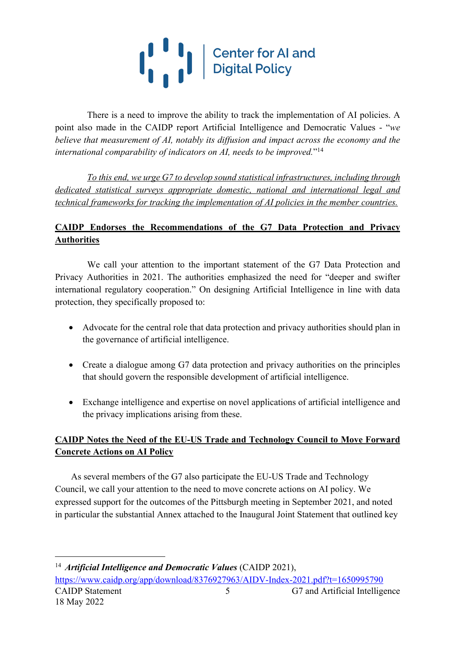# $\left(\begin{array}{c} 1 & 1 \\ 1 & 1 \end{array}\right)$ Center for AI and<br>Digital Policy

There is a need to improve the ability to track the implementation of AI policies. A point also made in the CAIDP report Artificial Intelligence and Democratic Values - "*we believe that measurement of AI, notably its diffusion and impact across the economy and the international comparability of indicators on AI, needs to be improved.*"14

*To this end, we urge G7 to develop sound statistical infrastructures, including through dedicated statistical surveys appropriate domestic, national and international legal and technical frameworks for tracking the implementation of AI policies in the member countries.*

## **CAIDP Endorses the Recommendations of the G7 Data Protection and Privacy Authorities**

We call your attention to the important statement of the G7 Data Protection and Privacy Authorities in 2021. The authorities emphasized the need for "deeper and swifter international regulatory cooperation." On designing Artificial Intelligence in line with data protection, they specifically proposed to:

- Advocate for the central role that data protection and privacy authorities should plan in the governance of artificial intelligence.
- Create a dialogue among G7 data protection and privacy authorities on the principles that should govern the responsible development of artificial intelligence.
- Exchange intelligence and expertise on novel applications of artificial intelligence and the privacy implications arising from these.

### **CAIDP Notes the Need of the EU-US Trade and Technology Council to Move Forward Concrete Actions on AI Policy**

As several members of the G7 also participate the EU-US Trade and Technology Council, we call your attention to the need to move concrete actions on AI policy. We expressed support for the outcomes of the Pittsburgh meeting in September 2021, and noted in particular the substantial Annex attached to the Inaugural Joint Statement that outlined key

CAIDP Statement 5 G7 and Artificial Intelligence 18 May 2022 5 <sup>14</sup> *Artificial Intelligence and Democratic Values* (CAIDP 2021), https://www.caidp.org/app/download/8376927963/AIDV-Index-2021.pdf?t=1650995790